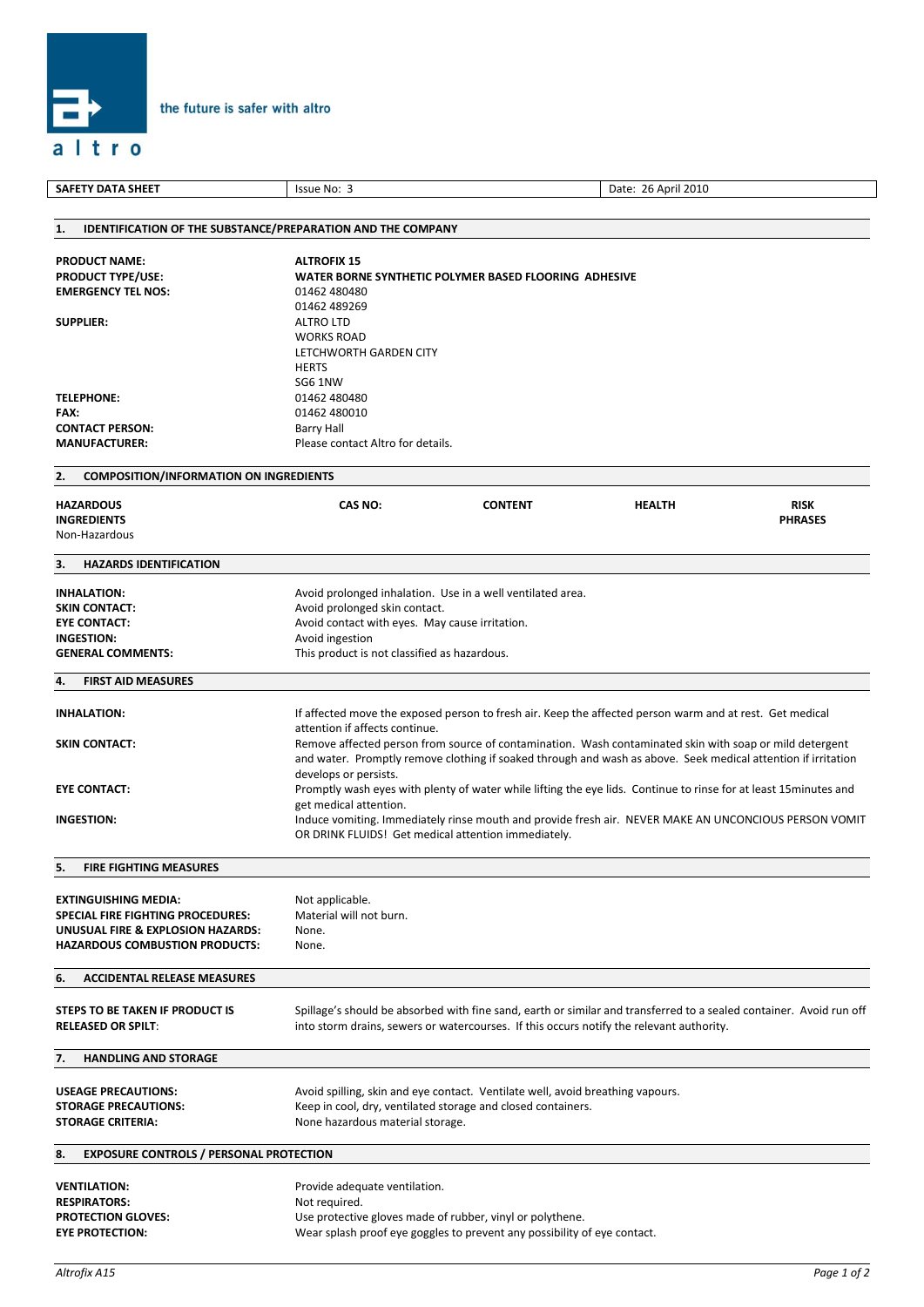

| <b>SAFETY DATA SHEET</b>                                                 | Issue No: 3                                                                                             |                                                                                | Date: 26 April 2010                                                                                                 |                |  |
|--------------------------------------------------------------------------|---------------------------------------------------------------------------------------------------------|--------------------------------------------------------------------------------|---------------------------------------------------------------------------------------------------------------------|----------------|--|
|                                                                          |                                                                                                         |                                                                                |                                                                                                                     |                |  |
| <b>IDENTIFICATION OF THE SUBSTANCE/PREPARATION AND THE COMPANY</b><br>1. |                                                                                                         |                                                                                |                                                                                                                     |                |  |
|                                                                          |                                                                                                         |                                                                                |                                                                                                                     |                |  |
| <b>PRODUCT NAME:</b>                                                     | <b>ALTROFIX 15</b>                                                                                      |                                                                                |                                                                                                                     |                |  |
| <b>PRODUCT TYPE/USE:</b>                                                 | WATER BORNE SYNTHETIC POLYMER BASED FLOORING ADHESIVE                                                   |                                                                                |                                                                                                                     |                |  |
| <b>EMERGENCY TEL NOS:</b>                                                | 01462 480480                                                                                            |                                                                                |                                                                                                                     |                |  |
|                                                                          | 01462 489269                                                                                            |                                                                                |                                                                                                                     |                |  |
| <b>SUPPLIER:</b>                                                         | <b>ALTRO LTD</b>                                                                                        |                                                                                |                                                                                                                     |                |  |
|                                                                          | <b>WORKS ROAD</b>                                                                                       |                                                                                |                                                                                                                     |                |  |
|                                                                          | LETCHWORTH GARDEN CITY                                                                                  |                                                                                |                                                                                                                     |                |  |
|                                                                          | <b>HERTS</b>                                                                                            |                                                                                |                                                                                                                     |                |  |
|                                                                          | <b>SG6 1NW</b>                                                                                          |                                                                                |                                                                                                                     |                |  |
| <b>TELEPHONE:</b>                                                        | 01462 480480                                                                                            |                                                                                |                                                                                                                     |                |  |
| FAX:                                                                     | 01462 480010                                                                                            |                                                                                |                                                                                                                     |                |  |
| <b>CONTACT PERSON:</b>                                                   | <b>Barry Hall</b>                                                                                       |                                                                                |                                                                                                                     |                |  |
| <b>MANUFACTURER:</b>                                                     | Please contact Altro for details.                                                                       |                                                                                |                                                                                                                     |                |  |
|                                                                          |                                                                                                         |                                                                                |                                                                                                                     |                |  |
| 2.<br><b>COMPOSITION/INFORMATION ON INGREDIENTS</b>                      |                                                                                                         |                                                                                |                                                                                                                     |                |  |
| <b>HAZARDOUS</b>                                                         | <b>CAS NO:</b>                                                                                          | <b>CONTENT</b>                                                                 | <b>HEALTH</b>                                                                                                       | <b>RISK</b>    |  |
| <b>INGREDIENTS</b>                                                       |                                                                                                         |                                                                                |                                                                                                                     | <b>PHRASES</b> |  |
| Non-Hazardous                                                            |                                                                                                         |                                                                                |                                                                                                                     |                |  |
|                                                                          |                                                                                                         |                                                                                |                                                                                                                     |                |  |
| 3.<br><b>HAZARDS IDENTIFICATION</b>                                      |                                                                                                         |                                                                                |                                                                                                                     |                |  |
|                                                                          |                                                                                                         |                                                                                |                                                                                                                     |                |  |
| <b>INHALATION:</b>                                                       |                                                                                                         | Avoid prolonged inhalation. Use in a well ventilated area.                     |                                                                                                                     |                |  |
| <b>SKIN CONTACT:</b>                                                     | Avoid prolonged skin contact.                                                                           |                                                                                |                                                                                                                     |                |  |
| <b>EYE CONTACT:</b>                                                      | Avoid contact with eyes. May cause irritation.                                                          |                                                                                |                                                                                                                     |                |  |
| <b>INGESTION:</b>                                                        | Avoid ingestion                                                                                         |                                                                                |                                                                                                                     |                |  |
| <b>GENERAL COMMENTS:</b>                                                 | This product is not classified as hazardous.                                                            |                                                                                |                                                                                                                     |                |  |
| <b>FIRST AID MEASURES</b><br>4.                                          |                                                                                                         |                                                                                |                                                                                                                     |                |  |
|                                                                          |                                                                                                         |                                                                                |                                                                                                                     |                |  |
| <b>INHALATION:</b>                                                       |                                                                                                         |                                                                                | If affected move the exposed person to fresh air. Keep the affected person warm and at rest. Get medical            |                |  |
|                                                                          | attention if affects continue.                                                                          |                                                                                |                                                                                                                     |                |  |
| <b>SKIN CONTACT:</b>                                                     | Remove affected person from source of contamination. Wash contaminated skin with soap or mild detergent |                                                                                |                                                                                                                     |                |  |
|                                                                          |                                                                                                         |                                                                                | and water. Promptly remove clothing if soaked through and wash as above. Seek medical attention if irritation       |                |  |
|                                                                          | develops or persists.                                                                                   |                                                                                |                                                                                                                     |                |  |
| <b>EYE CONTACT:</b>                                                      |                                                                                                         |                                                                                | Promptly wash eyes with plenty of water while lifting the eye lids. Continue to rinse for at least 15 minutes and   |                |  |
|                                                                          | get medical attention.                                                                                  |                                                                                |                                                                                                                     |                |  |
| <b>INGESTION:</b>                                                        | Induce vomiting. Immediately rinse mouth and provide fresh air. NEVER MAKE AN UNCONCIOUS PERSON VOMIT   |                                                                                |                                                                                                                     |                |  |
|                                                                          | OR DRINK FLUIDS! Get medical attention immediately.                                                     |                                                                                |                                                                                                                     |                |  |
|                                                                          |                                                                                                         |                                                                                |                                                                                                                     |                |  |
| 5.<br><b>FIRE FIGHTING MEASURES</b>                                      |                                                                                                         |                                                                                |                                                                                                                     |                |  |
| <b>EXTINGUISHING MEDIA:</b>                                              | Not applicable.                                                                                         |                                                                                |                                                                                                                     |                |  |
| <b>SPECIAL FIRE FIGHTING PROCEDURES:</b>                                 | Material will not burn.                                                                                 |                                                                                |                                                                                                                     |                |  |
| UNUSUAL FIRE & EXPLOSION HAZARDS:                                        | None.                                                                                                   |                                                                                |                                                                                                                     |                |  |
| <b>HAZARDOUS COMBUSTION PRODUCTS:</b>                                    | None.                                                                                                   |                                                                                |                                                                                                                     |                |  |
|                                                                          |                                                                                                         |                                                                                |                                                                                                                     |                |  |
| 6.<br><b>ACCIDENTAL RELEASE MEASURES</b>                                 |                                                                                                         |                                                                                |                                                                                                                     |                |  |
|                                                                          |                                                                                                         |                                                                                |                                                                                                                     |                |  |
| STEPS TO BE TAKEN IF PRODUCT IS                                          |                                                                                                         |                                                                                | Spillage's should be absorbed with fine sand, earth or similar and transferred to a sealed container. Avoid run off |                |  |
| <b>RELEASED OR SPILT:</b>                                                |                                                                                                         |                                                                                | into storm drains, sewers or watercourses. If this occurs notify the relevant authority.                            |                |  |
|                                                                          |                                                                                                         |                                                                                |                                                                                                                     |                |  |
| 7.<br><b>HANDLING AND STORAGE</b>                                        |                                                                                                         |                                                                                |                                                                                                                     |                |  |
| <b>USEAGE PRECAUTIONS:</b>                                               |                                                                                                         | Avoid spilling, skin and eye contact. Ventilate well, avoid breathing vapours. |                                                                                                                     |                |  |
| <b>STORAGE PRECAUTIONS:</b>                                              |                                                                                                         | Keep in cool, dry, ventilated storage and closed containers.                   |                                                                                                                     |                |  |
| <b>STORAGE CRITERIA:</b>                                                 | None hazardous material storage.                                                                        |                                                                                |                                                                                                                     |                |  |
|                                                                          |                                                                                                         |                                                                                |                                                                                                                     |                |  |
| <b>EXPOSURE CONTROLS / PERSONAL PROTECTION</b><br>8.                     |                                                                                                         |                                                                                |                                                                                                                     |                |  |
|                                                                          |                                                                                                         |                                                                                |                                                                                                                     |                |  |
| <b>VENTILATION:</b>                                                      | Provide adequate ventilation.                                                                           |                                                                                |                                                                                                                     |                |  |
| <b>RESPIRATORS:</b>                                                      | Not required.                                                                                           |                                                                                |                                                                                                                     |                |  |
| <b>PROTECTION GLOVES:</b>                                                |                                                                                                         | Use protective gloves made of rubber, vinyl or polythene.                      |                                                                                                                     |                |  |
| <b>EYE PROTECTION:</b>                                                   |                                                                                                         | Wear splash proof eye goggles to prevent any possibility of eye contact.       |                                                                                                                     |                |  |